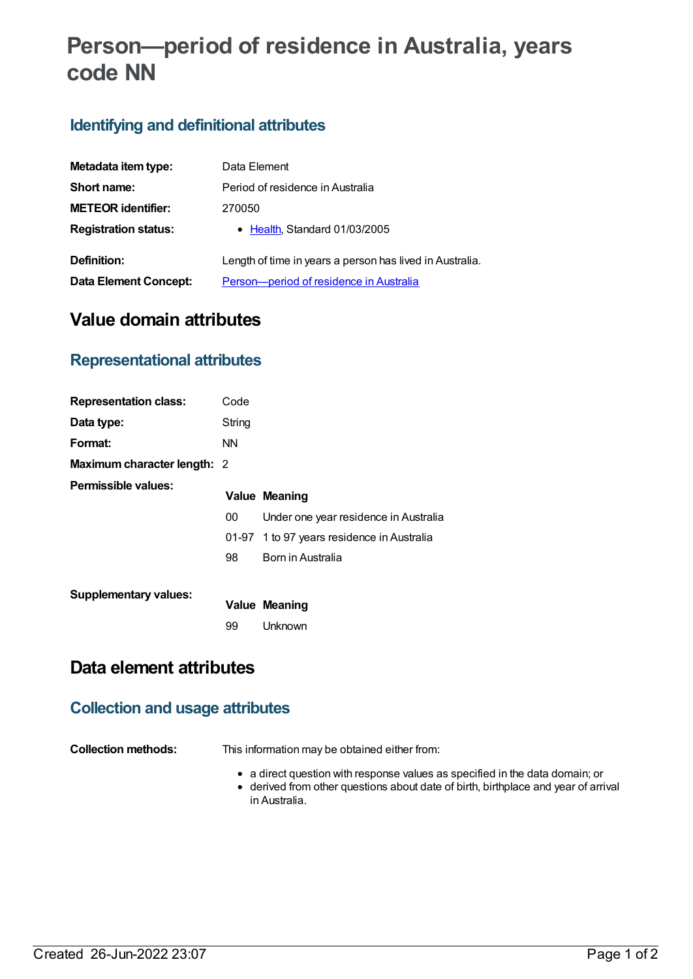# **Person—period of residence in Australia, years code NN**

### **Identifying and definitional attributes**

| Metadata item type:          | Data Element                                             |  |  |
|------------------------------|----------------------------------------------------------|--|--|
| Short name:                  | Period of residence in Australia                         |  |  |
| <b>METEOR identifier:</b>    | 270050                                                   |  |  |
| <b>Registration status:</b>  | • Health, Standard 01/03/2005                            |  |  |
| Definition:                  | Length of time in years a person has lived in Australia. |  |  |
| <b>Data Element Concept:</b> | Person-period of residence in Australia                  |  |  |

## **Value domain attributes**

### **Representational attributes**

| <b>Representation class:</b> | Code      |                                            |
|------------------------------|-----------|--------------------------------------------|
| Data type:                   | String    |                                            |
| Format:                      | <b>NN</b> |                                            |
| Maximum character length: 2  |           |                                            |
| Permissible values:          |           | <b>Value Meaning</b>                       |
|                              | 00        | Under one year residence in Australia      |
|                              |           | 01-97 1 to 97 years residence in Australia |
|                              | 98        | Born in Australia                          |
|                              |           |                                            |
| <b>Supplementary values:</b> |           | <b>Value Meaning</b>                       |
|                              | 99        | Unknown                                    |

# **Data element attributes**

#### **Collection and usage attributes**

**Collection methods:** This information may be obtained either from:

- a direct question with response values as specified in the data domain; or
- derived from other questions about date of birth, birthplace and year of arrival in Australia.